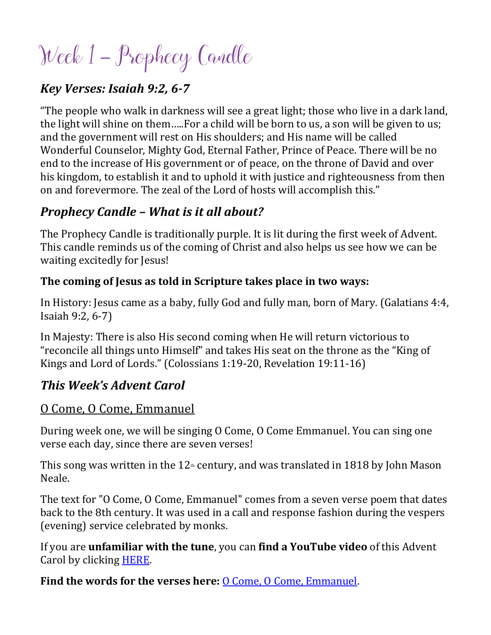# Week 1 – Prophecy Candle

#### *Key Verses: Isaiah 9:2, 6-7*

"The people who walk in darkness will see a great light; those who live in a dark land, the light will shine on them…..For a child will be born to us, a son will be given to us; and the government will rest on His shoulders; and His name will be called Wonderful Counselor, Mighty God, Eternal Father, Prince of Peace. There will be no end to the increase of His government or of peace, on the throne of David and over his kingdom, to establish it and to uphold it with justice and righteousness from then on and forevermore. The zeal of the Lord of hosts will accomplish this."

#### *Prophecy Candle – What is it all about?*

The Prophecy Candle is traditionally purple. It is lit during the first week of Advent. This candle reminds us of the coming of Christ and also helps us see how we can be waiting excitedly for Jesus!

#### **The coming of Jesus as told in Scripture takes place in two ways:**

In History: Jesus came as a baby, fully God and fully man, born of Mary. (Galatians 4:4, Isaiah 9:2, 6-7)

In Majesty: There is also His second coming when He will return victorious to "reconcile all things unto Himself" and takes His seat on the throne as the "King of Kings and Lord of Lords." (Colossians 1:19-20, Revelation 19:11-16)

#### *This Week's Advent Carol*

#### O Come, O Come, Emmanuel

During week one, we will be singing O Come, O Come Emmanuel. You can sing one verse each day, since there are seven verses!

This song was written in the  $12<sub>th</sub>$  century, and was translated in 1818 by John Mason Neale.

The text for "O Come, O Come, Emmanuel" comes from a seven verse poem that dates back to the 8th century. It was used in a call and response fashion during the vespers (evening) service celebrated by monks.

If you are **unfamiliar with the tune**, you can **find a YouTube video** of this Advent Carol by clicking [HERE.](https://www.youtube.com/watch?v=7xtpJ4Q_Q-4)

Find the words for the verses here: <u>O Come, O Come</u>, Emmanuel.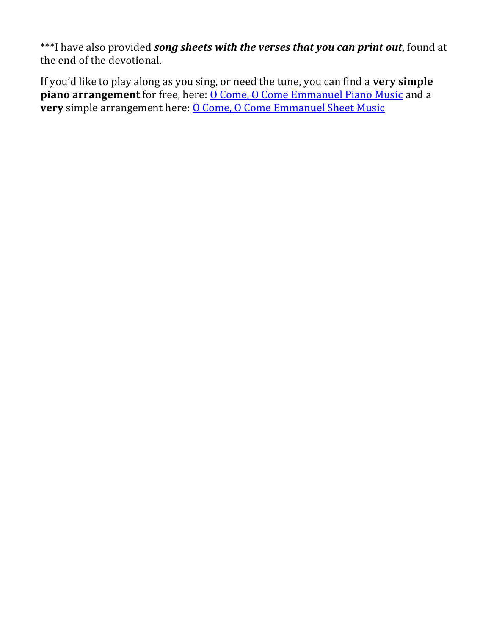\*\*\*I have also provided *song sheets with the verses that you can print out*, found at the end of the devotional.

If you'd like to play along as you sing, or need the tune, you can find a **very simple piano arrangement** for free, here: **O Come, O Come Emmanuel Piano Music** and a **very** simple arrangement here: **O Come, O Come Emmanuel Sheet Music**